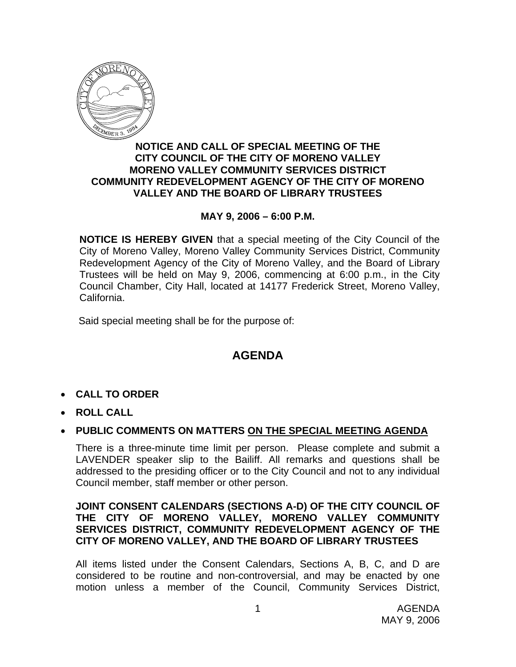

## **NOTICE AND CALL OF SPECIAL MEETING OF THE CITY COUNCIL OF THE CITY OF MORENO VALLEY MORENO VALLEY COMMUNITY SERVICES DISTRICT COMMUNITY REDEVELOPMENT AGENCY OF THE CITY OF MORENO VALLEY AND THE BOARD OF LIBRARY TRUSTEES**

# **MAY 9, 2006 – 6:00 P.M.**

**NOTICE IS HEREBY GIVEN** that a special meeting of the City Council of the City of Moreno Valley, Moreno Valley Community Services District, Community Redevelopment Agency of the City of Moreno Valley, and the Board of Library Trustees will be held on May 9, 2006, commencing at 6:00 p.m., in the City Council Chamber, City Hall, located at 14177 Frederick Street, Moreno Valley, California.

Said special meeting shall be for the purpose of:

# **AGENDA**

- **CALL TO ORDER**
- **ROLL CALL**

# • **PUBLIC COMMENTS ON MATTERS ON THE SPECIAL MEETING AGENDA**

There is a three-minute time limit per person. Please complete and submit a LAVENDER speaker slip to the Bailiff. All remarks and questions shall be addressed to the presiding officer or to the City Council and not to any individual Council member, staff member or other person.

### **JOINT CONSENT CALENDARS (SECTIONS A-D) OF THE CITY COUNCIL OF THE CITY OF MORENO VALLEY, MORENO VALLEY COMMUNITY SERVICES DISTRICT, COMMUNITY REDEVELOPMENT AGENCY OF THE CITY OF MORENO VALLEY, AND THE BOARD OF LIBRARY TRUSTEES**

All items listed under the Consent Calendars, Sections A, B, C, and D are considered to be routine and non-controversial, and may be enacted by one motion unless a member of the Council, Community Services District,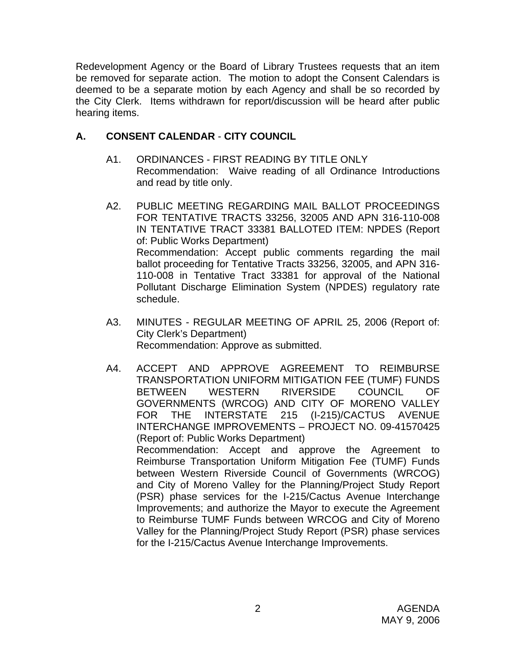Redevelopment Agency or the Board of Library Trustees requests that an item be removed for separate action. The motion to adopt the Consent Calendars is deemed to be a separate motion by each Agency and shall be so recorded by the City Clerk. Items withdrawn for report/discussion will be heard after public hearing items.

# **A. CONSENT CALENDAR** - **CITY COUNCIL**

- A1. ORDINANCES FIRST READING BY TITLE ONLY Recommendation: Waive reading of all Ordinance Introductions and read by title only.
- A2. PUBLIC MEETING REGARDING MAIL BALLOT PROCEEDINGS FOR TENTATIVE TRACTS 33256, 32005 AND APN 316-110-008 IN TENTATIVE TRACT 33381 BALLOTED ITEM: NPDES (Report of: Public Works Department) Recommendation: Accept public comments regarding the mail ballot proceeding for Tentative Tracts 33256, 32005, and APN 316- 110-008 in Tentative Tract 33381 for approval of the National Pollutant Discharge Elimination System (NPDES) regulatory rate schedule.
- A3. MINUTES REGULAR MEETING OF APRIL 25, 2006 (Report of: City Clerk's Department) Recommendation: Approve as submitted.
- A4. ACCEPT AND APPROVE AGREEMENT TO REIMBURSE TRANSPORTATION UNIFORM MITIGATION FEE (TUMF) FUNDS BETWEEN WESTERN RIVERSIDE COUNCIL OF GOVERNMENTS (WRCOG) AND CITY OF MORENO VALLEY FOR THE INTERSTATE 215 (I-215)/CACTUS AVENUE INTERCHANGE IMPROVEMENTS – PROJECT NO. 09-41570425 (Report of: Public Works Department) Recommendation: Accept and approve the Agreement to Reimburse Transportation Uniform Mitigation Fee (TUMF) Funds between Western Riverside Council of Governments (WRCOG) and City of Moreno Valley for the Planning/Project Study Report (PSR) phase services for the I-215/Cactus Avenue Interchange Improvements; and authorize the Mayor to execute the Agreement to Reimburse TUMF Funds between WRCOG and City of Moreno Valley for the Planning/Project Study Report (PSR) phase services

for the I-215/Cactus Avenue Interchange Improvements.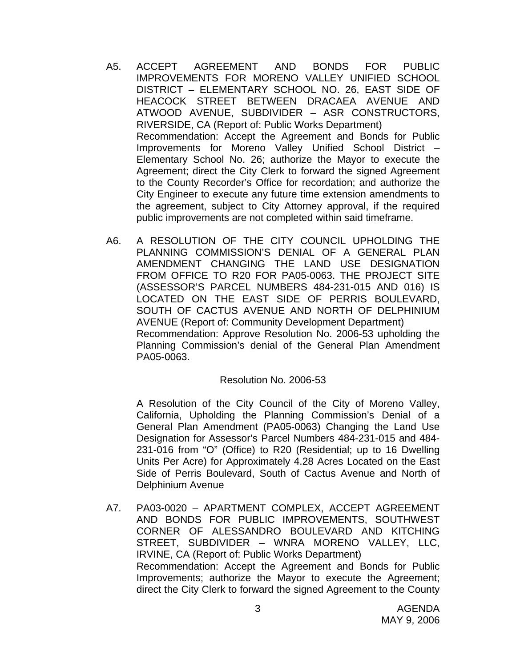- A5. ACCEPT AGREEMENT AND BONDS FOR PUBLIC IMPROVEMENTS FOR MORENO VALLEY UNIFIED SCHOOL DISTRICT – ELEMENTARY SCHOOL NO. 26, EAST SIDE OF HEACOCK STREET BETWEEN DRACAEA AVENUE AND ATWOOD AVENUE, SUBDIVIDER – ASR CONSTRUCTORS, RIVERSIDE, CA (Report of: Public Works Department) Recommendation: Accept the Agreement and Bonds for Public Improvements for Moreno Valley Unified School District – Elementary School No. 26; authorize the Mayor to execute the Agreement; direct the City Clerk to forward the signed Agreement to the County Recorder's Office for recordation; and authorize the City Engineer to execute any future time extension amendments to the agreement, subject to City Attorney approval, if the required public improvements are not completed within said timeframe.
- A6. A RESOLUTION OF THE CITY COUNCIL UPHOLDING THE PLANNING COMMISSION'S DENIAL OF A GENERAL PLAN AMENDMENT CHANGING THE LAND USE DESIGNATION FROM OFFICE TO R20 FOR PA05-0063. THE PROJECT SITE (ASSESSOR'S PARCEL NUMBERS 484-231-015 AND 016) IS LOCATED ON THE EAST SIDE OF PERRIS BOULEVARD, SOUTH OF CACTUS AVENUE AND NORTH OF DELPHINIUM AVENUE (Report of: Community Development Department) Recommendation: Approve Resolution No. 2006-53 upholding the Planning Commission's denial of the General Plan Amendment PA05-0063.

#### Resolution No. 2006-53

A Resolution of the City Council of the City of Moreno Valley, California, Upholding the Planning Commission's Denial of a General Plan Amendment (PA05-0063) Changing the Land Use Designation for Assessor's Parcel Numbers 484-231-015 and 484- 231-016 from "O" (Office) to R20 (Residential; up to 16 Dwelling Units Per Acre) for Approximately 4.28 Acres Located on the East Side of Perris Boulevard, South of Cactus Avenue and North of Delphinium Avenue

A7. PA03-0020 – APARTMENT COMPLEX, ACCEPT AGREEMENT AND BONDS FOR PUBLIC IMPROVEMENTS, SOUTHWEST CORNER OF ALESSANDRO BOULEVARD AND KITCHING STREET, SUBDIVIDER – WNRA MORENO VALLEY, LLC, IRVINE, CA (Report of: Public Works Department) Recommendation: Accept the Agreement and Bonds for Public Improvements; authorize the Mayor to execute the Agreement; direct the City Clerk to forward the signed Agreement to the County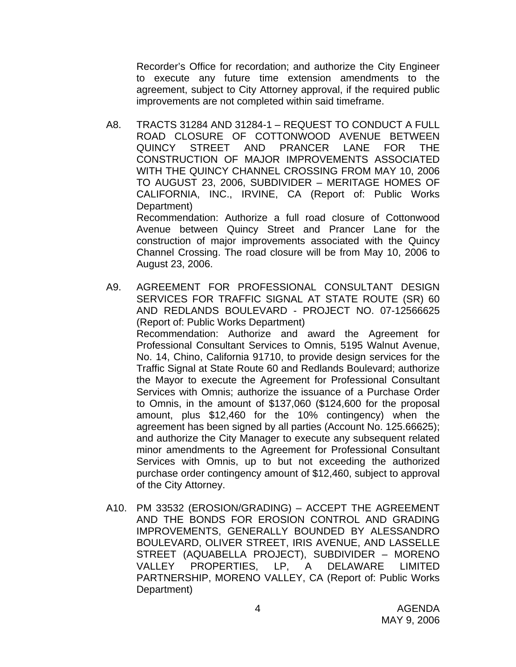Recorder's Office for recordation; and authorize the City Engineer to execute any future time extension amendments to the agreement, subject to City Attorney approval, if the required public improvements are not completed within said timeframe.

A8. TRACTS 31284 AND 31284-1 – REQUEST TO CONDUCT A FULL ROAD CLOSURE OF COTTONWOOD AVENUE BETWEEN QUINCY STREET AND PRANCER LANE FOR THE CONSTRUCTION OF MAJOR IMPROVEMENTS ASSOCIATED WITH THE QUINCY CHANNEL CROSSING FROM MAY 10, 2006 TO AUGUST 23, 2006, SUBDIVIDER – MERITAGE HOMES OF CALIFORNIA, INC., IRVINE, CA (Report of: Public Works Department)

 Recommendation: Authorize a full road closure of Cottonwood Avenue between Quincy Street and Prancer Lane for the construction of major improvements associated with the Quincy Channel Crossing. The road closure will be from May 10, 2006 to August 23, 2006.

- A9. AGREEMENT FOR PROFESSIONAL CONSULTANT DESIGN SERVICES FOR TRAFFIC SIGNAL AT STATE ROUTE (SR) 60 AND REDLANDS BOULEVARD - PROJECT NO. 07-12566625 (Report of: Public Works Department) Recommendation: Authorize and award the Agreement for Professional Consultant Services to Omnis, 5195 Walnut Avenue, No. 14, Chino, California 91710, to provide design services for the Traffic Signal at State Route 60 and Redlands Boulevard; authorize the Mayor to execute the Agreement for Professional Consultant Services with Omnis; authorize the issuance of a Purchase Order to Omnis, in the amount of \$137,060 (\$124,600 for the proposal amount, plus \$12,460 for the 10% contingency) when the agreement has been signed by all parties (Account No. 125.66625); and authorize the City Manager to execute any subsequent related minor amendments to the Agreement for Professional Consultant Services with Omnis, up to but not exceeding the authorized purchase order contingency amount of \$12,460, subject to approval of the City Attorney.
- A10. PM 33532 (EROSION/GRADING) ACCEPT THE AGREEMENT AND THE BONDS FOR EROSION CONTROL AND GRADING IMPROVEMENTS, GENERALLY BOUNDED BY ALESSANDRO BOULEVARD, OLIVER STREET, IRIS AVENUE, AND LASSELLE STREET (AQUABELLA PROJECT), SUBDIVIDER – MORENO VALLEY PROPERTIES, LP, A DELAWARE LIMITED PARTNERSHIP, MORENO VALLEY, CA (Report of: Public Works Department)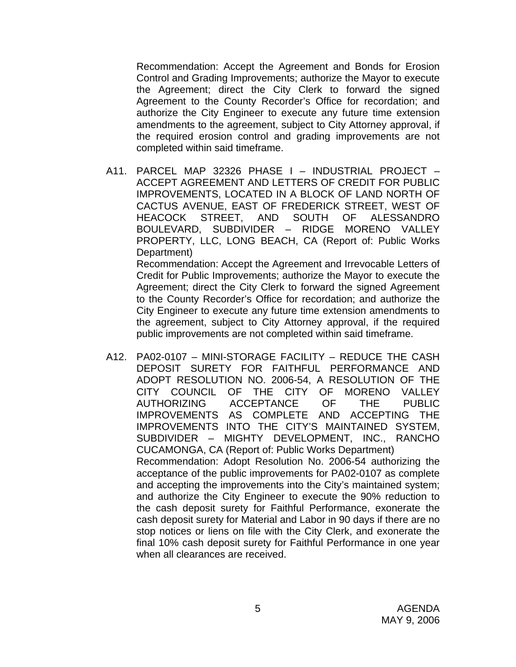Recommendation: Accept the Agreement and Bonds for Erosion Control and Grading Improvements; authorize the Mayor to execute the Agreement; direct the City Clerk to forward the signed Agreement to the County Recorder's Office for recordation; and authorize the City Engineer to execute any future time extension amendments to the agreement, subject to City Attorney approval, if the required erosion control and grading improvements are not completed within said timeframe.

A11. PARCEL MAP 32326 PHASE I – INDUSTRIAL PROJECT – ACCEPT AGREEMENT AND LETTERS OF CREDIT FOR PUBLIC IMPROVEMENTS, LOCATED IN A BLOCK OF LAND NORTH OF CACTUS AVENUE, EAST OF FREDERICK STREET, WEST OF HEACOCK STREET, AND SOUTH OF ALESSANDRO BOULEVARD, SUBDIVIDER – RIDGE MORENO VALLEY PROPERTY, LLC, LONG BEACH, CA (Report of: Public Works Department)

 Recommendation: Accept the Agreement and Irrevocable Letters of Credit for Public Improvements; authorize the Mayor to execute the Agreement; direct the City Clerk to forward the signed Agreement to the County Recorder's Office for recordation; and authorize the City Engineer to execute any future time extension amendments to the agreement, subject to City Attorney approval, if the required public improvements are not completed within said timeframe.

A12. PA02-0107 – MINI-STORAGE FACILITY – REDUCE THE CASH DEPOSIT SURETY FOR FAITHFUL PERFORMANCE AND ADOPT RESOLUTION NO. 2006-54, A RESOLUTION OF THE CITY COUNCIL OF THE CITY OF MORENO VALLEY AUTHORIZING ACCEPTANCE OF THE PUBLIC IMPROVEMENTS AS COMPLETE AND ACCEPTING THE IMPROVEMENTS INTO THE CITY'S MAINTAINED SYSTEM, SUBDIVIDER – MIGHTY DEVELOPMENT, INC., RANCHO CUCAMONGA, CA (Report of: Public Works Department) Recommendation: Adopt Resolution No. 2006-54 authorizing the acceptance of the public improvements for PA02-0107 as complete and accepting the improvements into the City's maintained system; and authorize the City Engineer to execute the 90% reduction to the cash deposit surety for Faithful Performance, exonerate the cash deposit surety for Material and Labor in 90 days if there are no stop notices or liens on file with the City Clerk, and exonerate the final 10% cash deposit surety for Faithful Performance in one year when all clearances are received.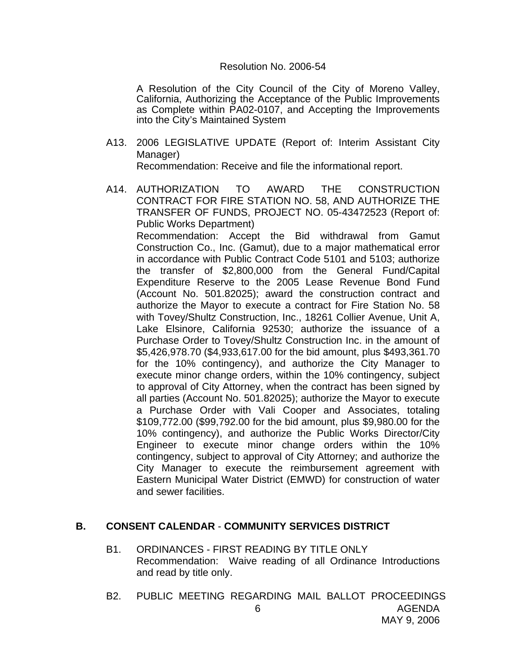#### Resolution No. 2006-54

A Resolution of the City Council of the City of Moreno Valley, California, Authorizing the Acceptance of the Public Improvements as Complete within PA02-0107, and Accepting the Improvements into the City's Maintained System

- A13. 2006 LEGISLATIVE UPDATE (Report of: Interim Assistant City Manager) Recommendation: Receive and file the informational report.
- A14. AUTHORIZATION TO AWARD THE CONSTRUCTION CONTRACT FOR FIRE STATION NO. 58, AND AUTHORIZE THE TRANSFER OF FUNDS, PROJECT NO. 05-43472523 (Report of: Public Works Department) Recommendation: Accept the Bid withdrawal from Gamut Construction Co., Inc. (Gamut), due to a major mathematical error in accordance with Public Contract Code 5101 and 5103; authorize the transfer of \$2,800,000 from the General Fund/Capital Expenditure Reserve to the 2005 Lease Revenue Bond Fund (Account No. 501.82025); award the construction contract and authorize the Mayor to execute a contract for Fire Station No. 58 with Tovey/Shultz Construction, Inc., 18261 Collier Avenue, Unit A, Lake Elsinore, California 92530; authorize the issuance of a Purchase Order to Tovey/Shultz Construction Inc. in the amount of \$5,426,978.70 (\$4,933,617.00 for the bid amount, plus \$493,361.70 for the 10% contingency), and authorize the City Manager to execute minor change orders, within the 10% contingency, subject to approval of City Attorney, when the contract has been signed by all parties (Account No. 501.82025); authorize the Mayor to execute a Purchase Order with Vali Cooper and Associates, totaling \$109,772.00 (\$99,792.00 for the bid amount, plus \$9,980.00 for the 10% contingency), and authorize the Public Works Director/City Engineer to execute minor change orders within the 10% contingency, subject to approval of City Attorney; and authorize the City Manager to execute the reimbursement agreement with Eastern Municipal Water District (EMWD) for construction of water and sewer facilities.

## **B. CONSENT CALENDAR** - **COMMUNITY SERVICES DISTRICT**

- B1. ORDINANCES FIRST READING BY TITLE ONLY Recommendation: Waive reading of all Ordinance Introductions and read by title only.
- AGENDA MAY 9, 2006 6 B2. PUBLIC MEETING REGARDING MAIL BALLOT PROCEEDINGS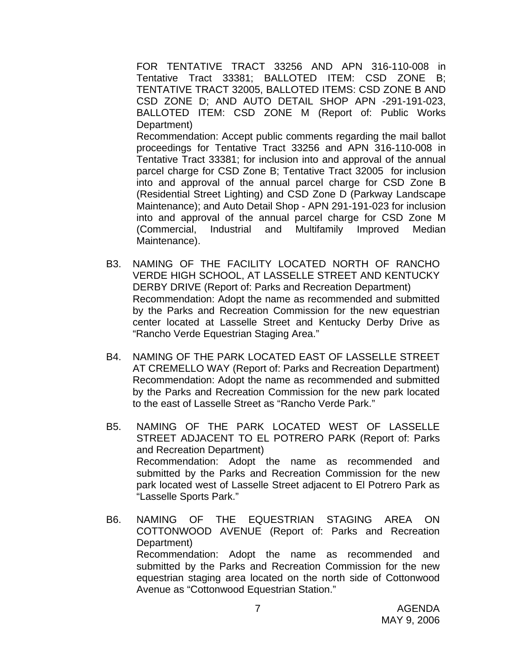FOR TENTATIVE TRACT 33256 AND APN 316-110-008 in Tentative Tract 33381; BALLOTED ITEM: CSD ZONE B; TENTATIVE TRACT 32005, BALLOTED ITEMS: CSD ZONE B AND CSD ZONE D; AND AUTO DETAIL SHOP APN -291-191-023, BALLOTED ITEM: CSD ZONE M (Report of: Public Works Department)

 Recommendation: Accept public comments regarding the mail ballot proceedings for Tentative Tract 33256 and APN 316-110-008 in Tentative Tract 33381; for inclusion into and approval of the annual parcel charge for CSD Zone B; Tentative Tract 32005 for inclusion into and approval of the annual parcel charge for CSD Zone B (Residential Street Lighting) and CSD Zone D (Parkway Landscape Maintenance); and Auto Detail Shop - APN 291-191-023 for inclusion into and approval of the annual parcel charge for CSD Zone M (Commercial, Industrial and Multifamily Improved Median Maintenance).

- B3. NAMING OF THE FACILITY LOCATED NORTH OF RANCHO VERDE HIGH SCHOOL, AT LASSELLE STREET AND KENTUCKY DERBY DRIVE (Report of: Parks and Recreation Department) Recommendation: Adopt the name as recommended and submitted by the Parks and Recreation Commission for the new equestrian center located at Lasselle Street and Kentucky Derby Drive as "Rancho Verde Equestrian Staging Area."
- B4. NAMING OF THE PARK LOCATED EAST OF LASSELLE STREET AT CREMELLO WAY (Report of: Parks and Recreation Department) Recommendation: Adopt the name as recommended and submitted by the Parks and Recreation Commission for the new park located to the east of Lasselle Street as "Rancho Verde Park."
- B5. NAMING OF THE PARK LOCATED WEST OF LASSELLE STREET ADJACENT TO EL POTRERO PARK (Report of: Parks and Recreation Department) Recommendation: Adopt the name as recommended and submitted by the Parks and Recreation Commission for the new park located west of Lasselle Street adjacent to El Potrero Park as "Lasselle Sports Park."
- B6. NAMING OF THE EQUESTRIAN STAGING AREA ON COTTONWOOD AVENUE (Report of: Parks and Recreation Department) Recommendation: Adopt the name as recommended and submitted by the Parks and Recreation Commission for the new equestrian staging area located on the north side of Cottonwood Avenue as "Cottonwood Equestrian Station."